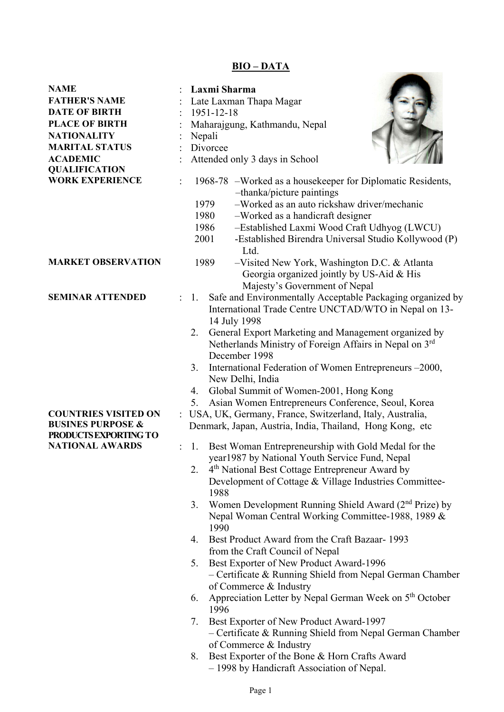# **BIO – DATA**

**CONTRACTOR** 

| NAME                         |                      | Laxmi Sharma                                                                                                                                                                                                                                                                                                        |  |  |  |  |
|------------------------------|----------------------|---------------------------------------------------------------------------------------------------------------------------------------------------------------------------------------------------------------------------------------------------------------------------------------------------------------------|--|--|--|--|
| <b>FATHER'S NAME</b>         |                      | Late Laxman Thapa Magar                                                                                                                                                                                                                                                                                             |  |  |  |  |
| <b>DATE OF BIRTH</b>         |                      | 1951-12-18                                                                                                                                                                                                                                                                                                          |  |  |  |  |
| <b>PLACE OF BIRTH</b>        |                      | Maharajgung, Kathmandu, Nepal                                                                                                                                                                                                                                                                                       |  |  |  |  |
| <b>NATIONALITY</b>           |                      | Nepali                                                                                                                                                                                                                                                                                                              |  |  |  |  |
| <b>MARITAL STATUS</b>        |                      | Divorcee                                                                                                                                                                                                                                                                                                            |  |  |  |  |
| <b>ACADEMIC</b>              |                      | Attended only 3 days in School                                                                                                                                                                                                                                                                                      |  |  |  |  |
| <b>QUALIFICATION</b>         |                      |                                                                                                                                                                                                                                                                                                                     |  |  |  |  |
| <b>WORK EXPERIENCE</b>       |                      | 1968-78 – Worked as a house keeper for Diplomatic Residents,<br>-thanka/picture paintings<br>-Worked as an auto rickshaw driver/mechanic<br>1979<br>1980<br>-Worked as a handicraft designer<br>-Established Laxmi Wood Craft Udhyog (LWCU)<br>1986<br>2001<br>-Established Birendra Universal Studio Kollywood (P) |  |  |  |  |
|                              |                      | Ltd.                                                                                                                                                                                                                                                                                                                |  |  |  |  |
| <b>MARKET OBSERVATION</b>    |                      | 1989<br>$-V$ isited New York, Washington D.C. & Atlanta                                                                                                                                                                                                                                                             |  |  |  |  |
|                              |                      | Georgia organized jointly by US-Aid & His                                                                                                                                                                                                                                                                           |  |  |  |  |
|                              |                      | Majesty's Government of Nepal                                                                                                                                                                                                                                                                                       |  |  |  |  |
| <b>SEMINAR ATTENDED</b>      | $\ddot{\phantom{a}}$ | Safe and Environmentally Acceptable Packaging organized by<br>1.<br>International Trade Centre UNCTAD/WTO in Nepal on 13-<br>14 July 1998                                                                                                                                                                           |  |  |  |  |
|                              |                      | General Export Marketing and Management organized by<br>2.<br>Netherlands Ministry of Foreign Affairs in Nepal on 3rd<br>December 1998                                                                                                                                                                              |  |  |  |  |
|                              |                      | International Federation of Women Entrepreneurs -2000,<br>3.<br>New Delhi, India                                                                                                                                                                                                                                    |  |  |  |  |
|                              |                      | Global Summit of Women-2001, Hong Kong<br>4.                                                                                                                                                                                                                                                                        |  |  |  |  |
|                              |                      | Asian Women Entrepreneurs Conference, Seoul, Korea<br>5.                                                                                                                                                                                                                                                            |  |  |  |  |
| <b>COUNTRIES VISITED ON</b>  |                      |                                                                                                                                                                                                                                                                                                                     |  |  |  |  |
| <b>BUSINES PURPOSE &amp;</b> |                      | : USA, UK, Germany, France, Switzerland, Italy, Australia,<br>Denmark, Japan, Austria, India, Thailand, Hong Kong, etc                                                                                                                                                                                              |  |  |  |  |
| PRODUCTS EXPORTING TO        |                      |                                                                                                                                                                                                                                                                                                                     |  |  |  |  |
| <b>NATIONAL AWARDS</b>       |                      | Best Woman Entrepreneurship with Gold Medal for the<br>1.<br>year1987 by National Youth Service Fund, Nepal                                                                                                                                                                                                         |  |  |  |  |
|                              |                      | 4 <sup>th</sup> National Best Cottage Entrepreneur Award by<br>2.                                                                                                                                                                                                                                                   |  |  |  |  |
|                              |                      | Development of Cottage & Village Industries Committee-<br>1988                                                                                                                                                                                                                                                      |  |  |  |  |
|                              |                      | Women Development Running Shield Award (2 <sup>nd</sup> Prize) by<br>3.<br>Nepal Woman Central Working Committee-1988, 1989 &<br>1990                                                                                                                                                                               |  |  |  |  |
|                              |                      | Best Product Award from the Craft Bazaar- 1993<br>4.                                                                                                                                                                                                                                                                |  |  |  |  |
|                              |                      | from the Craft Council of Nepal                                                                                                                                                                                                                                                                                     |  |  |  |  |
|                              |                      | 5.<br>Best Exporter of New Product Award-1996                                                                                                                                                                                                                                                                       |  |  |  |  |
|                              |                      | $-$ Certificate & Running Shield from Nepal German Chamber<br>of Commerce & Industry                                                                                                                                                                                                                                |  |  |  |  |
|                              |                      | Appreciation Letter by Nepal German Week on 5 <sup>th</sup> October<br>6.<br>1996                                                                                                                                                                                                                                   |  |  |  |  |
|                              |                      | Best Exporter of New Product Award-1997<br>7.<br>$-$ Certificate & Running Shield from Nepal German Chamber                                                                                                                                                                                                         |  |  |  |  |
|                              |                      | of Commerce & Industry                                                                                                                                                                                                                                                                                              |  |  |  |  |
|                              |                      | Best Exporter of the Bone & Horn Crafts Award<br>8.<br>– 1998 by Handicraft Association of Nepal.                                                                                                                                                                                                                   |  |  |  |  |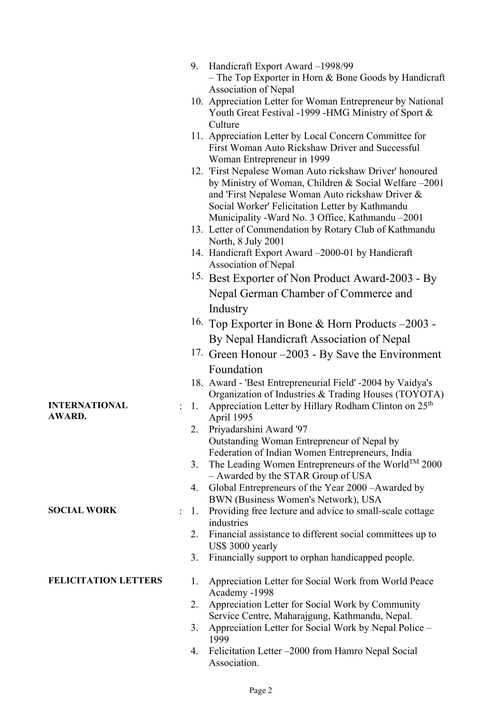|                             | 9. | Handicraft Export Award –1998/99<br>- The Top Exporter in Horn $&$ Bone Goods by Handicraft<br>Association of Nepal                                                                                                                                                            |
|-----------------------------|----|--------------------------------------------------------------------------------------------------------------------------------------------------------------------------------------------------------------------------------------------------------------------------------|
|                             |    | 10. Appreciation Letter for Woman Entrepreneur by National<br>Youth Great Festival -1999 -HMG Ministry of Sport &<br>Culture                                                                                                                                                   |
|                             |    | 11. Appreciation Letter by Local Concern Committee for<br>First Woman Auto Rickshaw Driver and Successful<br>Woman Entrepreneur in 1999                                                                                                                                        |
|                             |    | 12. 'First Nepalese Woman Auto rickshaw Driver' honoured<br>by Ministry of Woman, Children & Social Welfare -2001<br>and 'First Nepalese Woman Auto rickshaw Driver &<br>Social Worker' Felicitation Letter by Kathmandu<br>Municipality - Ward No. 3 Office, Kathmandu - 2001 |
|                             |    | 13. Letter of Commendation by Rotary Club of Kathmandu<br>North, 8 July 2001                                                                                                                                                                                                   |
|                             |    | 14. Handicraft Export Award -2000-01 by Handicraft<br>Association of Nepal                                                                                                                                                                                                     |
|                             |    | <sup>15.</sup> Best Exporter of Non Product Award-2003 - By                                                                                                                                                                                                                    |
|                             |    | Nepal German Chamber of Commerce and                                                                                                                                                                                                                                           |
|                             |    | Industry                                                                                                                                                                                                                                                                       |
|                             |    | <sup>16.</sup> Top Exporter in Bone & Horn Products $-2003$ -                                                                                                                                                                                                                  |
|                             |    | By Nepal Handicraft Association of Nepal                                                                                                                                                                                                                                       |
|                             |    | <sup>17.</sup> Green Honour $-2003$ - By Save the Environment                                                                                                                                                                                                                  |
|                             |    | Foundation                                                                                                                                                                                                                                                                     |
| <b>INTERNATIONAL</b>        | 1. | 18. Award - 'Best Entrepreneurial Field' -2004 by Vaidya's<br>Organization of Industries & Trading Houses (TOYOTA)<br>Appreciation Letter by Hillary Rodham Clinton on 25 <sup>th</sup>                                                                                        |
| <b>AWARD.</b>               |    | April 1995                                                                                                                                                                                                                                                                     |
|                             | 2. | Priyadarshini Award '97<br>Outstanding Woman Entrepreneur of Nepal by                                                                                                                                                                                                          |
|                             | 3. | Federation of Indian Women Entrepreneurs, India<br>The Leading Women Entrepreneurs of the World <sup>TM</sup> 2000<br>- Awarded by the STAR Group of USA                                                                                                                       |
|                             | 4. | Global Entrepreneurs of the Year 2000 - Awarded by<br>BWN (Business Women's Network), USA                                                                                                                                                                                      |
| <b>SOCIAL WORK</b>          | 1. | Providing free lecture and advice to small-scale cottage<br>industries                                                                                                                                                                                                         |
|                             | 2. | Financial assistance to different social committees up to<br>US\$ 3000 yearly                                                                                                                                                                                                  |
|                             | 3. | Financially support to orphan handicapped people.                                                                                                                                                                                                                              |
| <b>FELICITATION LETTERS</b> | 1. | Appreciation Letter for Social Work from World Peace<br>Academy -1998                                                                                                                                                                                                          |
|                             | 2. | Appreciation Letter for Social Work by Community<br>Service Centre, Maharajgung, Kathmandu, Nepal.                                                                                                                                                                             |
|                             | 3. | Appreciation Letter for Social Work by Nepal Police -<br>1999                                                                                                                                                                                                                  |
|                             | 4. | Felicitation Letter –2000 from Hamro Nepal Social<br>Association.                                                                                                                                                                                                              |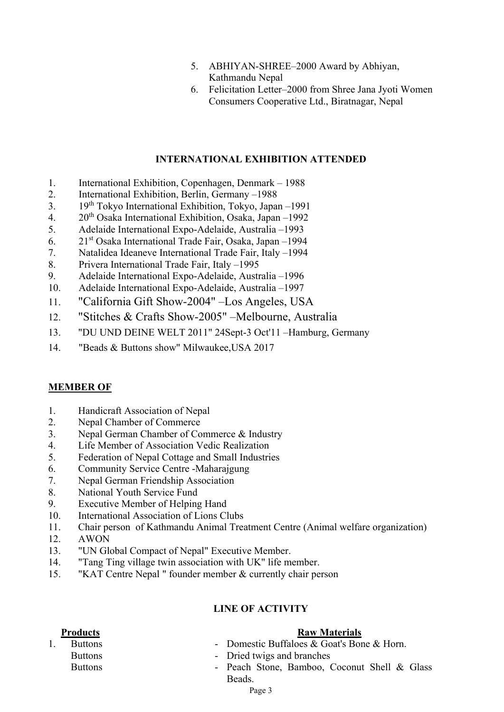- 5. ABHIYAN-SHREE–2000 Award by Abhiyan, Kathmandu Nepal
- 6. Felicitation Letter–2000 from Shree Jana Jyoti Women Consumers Cooperative Ltd., Biratnagar, Nepal

# **INTERNATIONAL EXHIBITION ATTENDED**

- 1. International Exhibition, Copenhagen, Denmark 1988
- 2. International Exhibition, Berlin, Germany –1988
- 3. 19<sup>th</sup> Tokyo International Exhibition, Tokyo, Japan –1991<br>4. 20<sup>th</sup> Osaka International Exhibition, Osaka, Japan –1992
- $20<sup>th</sup>$  Osaka International Exhibition, Osaka, Japan –1992
- 5. Adelaide International Expo-Adelaide, Australia –1993
- 6. 21st Osaka International Trade Fair, Osaka, Japan –1994
- 7. Natalidea Ideaneve International Trade Fair, Italy –1994
- 8. Privera International Trade Fair, Italy –1995
- 9. Adelaide International Expo-Adelaide, Australia –1996
- 10. Adelaide International Expo-Adelaide, Australia –1997
- 11. "California Gift Show-2004" –Los Angeles, USA
- 12. "Stitches & Crafts Show-2005" –Melbourne, Australia
- 13. "DU UND DEINE WELT 2011" 24Sept-3 Oct'11 –Hamburg, Germany
- 14. "Beads & Buttons show" Milwaukee,USA 2017

## **MEMBER OF**

- 1. Handicraft Association of Nepal
- 2. Nepal Chamber of Commerce
- 3. Nepal German Chamber of Commerce & Industry
- 4. Life Member of Association Vedic Realization
- 5. Federation of Nepal Cottage and Small Industries
- 6. Community Service Centre -Maharajgung
- 7. Nepal German Friendship Association
- 8. National Youth Service Fund
- 9. Executive Member of Helping Hand
- 10. International Association of Lions Clubs
- 11. Chair person of Kathmandu Animal Treatment Centre (Animal welfare organization)
- 12. AWON
- 13. "UN Global Compact of Nepal" Executive Member.
- 14. "Tang Ting village twin association with UK" life member.
- 15. "KAT Centre Nepal " founder member & currently chair person

# **LINE OF ACTIVITY**

## **Products Raw Materials**

- 1. Buttons  **Domestic Buffaloes & Goat's Bone & Horn.** 
	- Buttons Dried twigs and branches
	- Buttons  **Peach Stone, Bamboo, Coconut Shell & Glass** Beads.